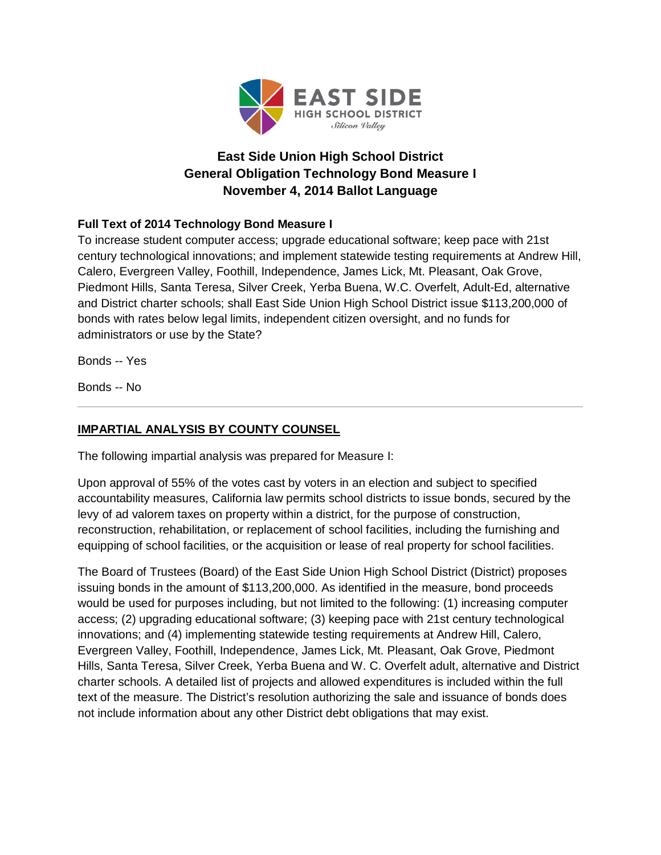

## **East Side Union High School District General Obligation Technology Bond Measure I November 4, 2014 Ballot Language**

## **Full Text of 2014 Technology Bond Measure I**

To increase student computer access; upgrade educational software; keep pace with 21st century technological innovations; and implement statewide testing requirements at Andrew Hill, Calero, Evergreen Valley, Foothill, Independence, James Lick, Mt. Pleasant, Oak Grove, Piedmont Hills, Santa Teresa, Silver Creek, Yerba Buena, W.C. Overfelt, Adult-Ed, alternative and District charter schools; shall East Side Union High School District issue \$113,200,000 of bonds with rates below legal limits, independent citizen oversight, and no funds for administrators or use by the State?

Bonds -- Yes

Bonds -- No

## **IMPARTIAL ANALYSIS BY COUNTY COUNSEL**

The following impartial analysis was prepared for Measure I:

Upon approval of 55% of the votes cast by voters in an election and subject to specified accountability measures, California law permits school districts to issue bonds, secured by the levy of ad valorem taxes on property within a district, for the purpose of construction, reconstruction, rehabilitation, or replacement of school facilities, including the furnishing and equipping of school facilities, or the acquisition or lease of real property for school facilities.

The Board of Trustees (Board) of the East Side Union High School District (District) proposes issuing bonds in the amount of \$113,200,000. As identified in the measure, bond proceeds would be used for purposes including, but not limited to the following: (1) increasing computer access; (2) upgrading educational software; (3) keeping pace with 21st century technological innovations; and (4) implementing statewide testing requirements at Andrew Hill, Calero, Evergreen Valley, Foothill, Independence, James Lick, Mt. Pleasant, Oak Grove, Piedmont Hills, Santa Teresa, Silver Creek, Yerba Buena and W. C. Overfelt adult, alternative and District charter schools. A detailed list of projects and allowed expenditures is included within the full text of the measure. The District's resolution authorizing the sale and issuance of bonds does not include information about any other District debt obligations that may exist.